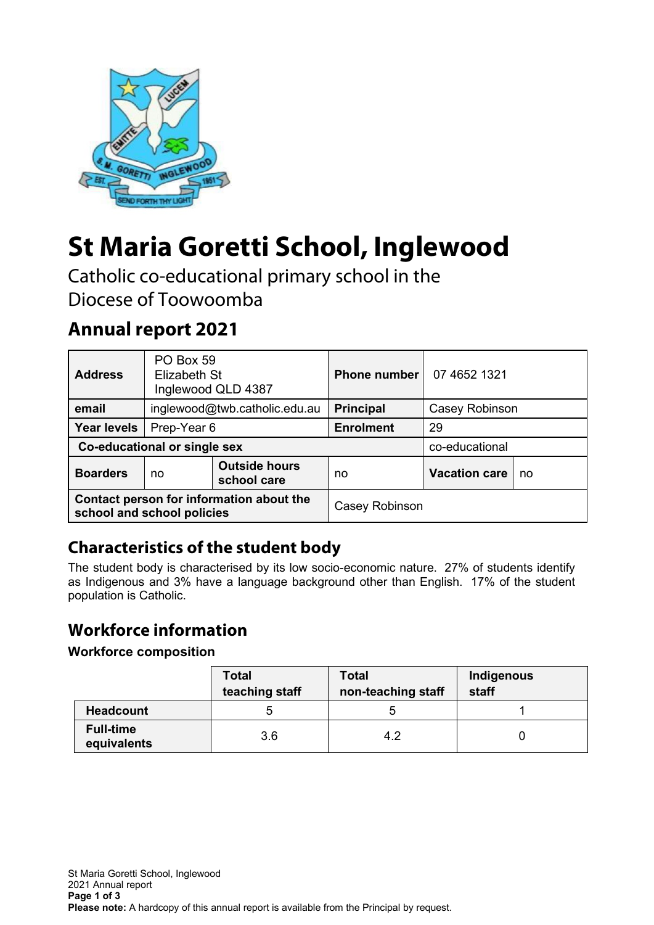

# **St Maria Goretti School, Inglewood**

Catholic co-educational primary school in the Diocese of Toowoomba

# **Annual report 2021**

| <b>Address</b>                                                         | PO Box 59<br>Elizabeth St<br>Inglewood QLD 4387 |                                     | <b>Phone number</b> | 07 4652 1321         |    |
|------------------------------------------------------------------------|-------------------------------------------------|-------------------------------------|---------------------|----------------------|----|
| email                                                                  | inglewood@twb.catholic.edu.au                   |                                     | <b>Principal</b>    | Casey Robinson       |    |
| <b>Year levels</b>                                                     | Prep-Year 6                                     |                                     | <b>Enrolment</b>    | 29                   |    |
| Co-educational or single sex                                           |                                                 |                                     |                     | co-educational       |    |
| <b>Boarders</b>                                                        | no                                              | <b>Outside hours</b><br>school care | no                  | <b>Vacation care</b> | no |
| Contact person for information about the<br>school and school policies |                                                 |                                     | Casey Robinson      |                      |    |

# **Characteristics of the student body**

The student body is characterised by its low socio-economic nature. 27% of students identify as Indigenous and 3% have a language background other than English. 17% of the student population is Catholic.

# **Workforce information**

#### **Workforce composition**

|                                 | <b>Total</b><br>teaching staff | <b>Total</b><br>non-teaching staff | Indigenous<br>staff |
|---------------------------------|--------------------------------|------------------------------------|---------------------|
| <b>Headcount</b>                |                                |                                    |                     |
| <b>Full-time</b><br>equivalents | 3.6                            | 4.2                                |                     |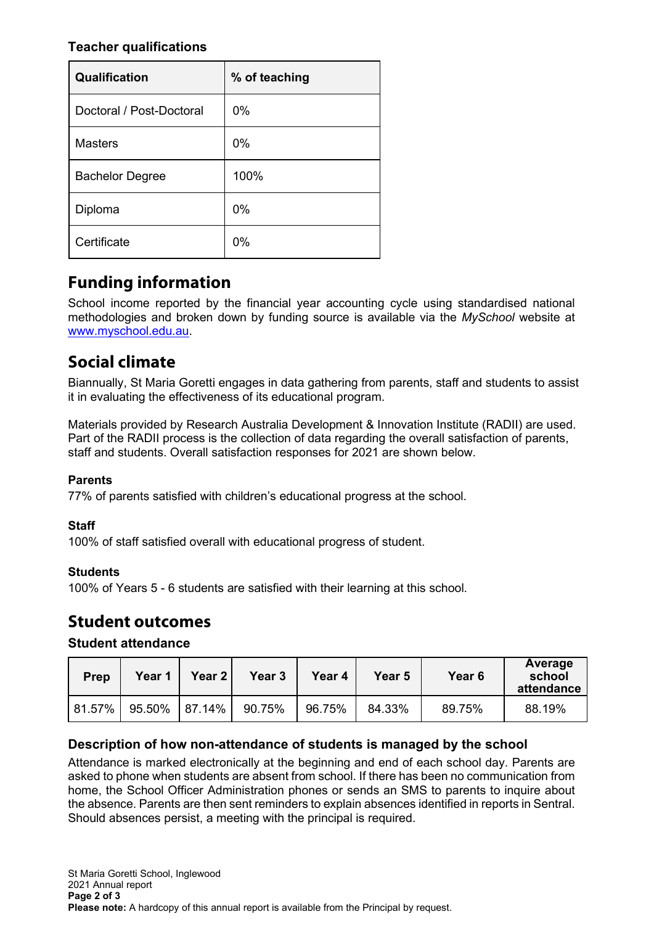#### **Teacher qualifications**

| Qualification            | % of teaching |
|--------------------------|---------------|
| Doctoral / Post-Doctoral | 0%            |
| <b>Masters</b>           | $0\%$         |
| <b>Bachelor Degree</b>   | 100%          |
| Diploma                  | $0\%$         |
| Certificate              | 0%            |

# **Funding information**

School income reported by the financial year accounting cycle using standardised national methodologies and broken down by funding source is available via the *MySchool* website at [www.myschool.edu.au.](http://www.myschool.edu.au/)

# **Social climate**

Biannually, St Maria Goretti engages in data gathering from parents, staff and students to assist it in evaluating the effectiveness of its educational program.

Materials provided by Research Australia Development & Innovation Institute (RADII) are used. Part of the RADII process is the collection of data regarding the overall satisfaction of parents, staff and students. Overall satisfaction responses for 2021 are shown below.

#### **Parents**

77% of parents satisfied with children's educational progress at the school.

#### **Staff**

100% of staff satisfied overall with educational progress of student.

#### **Students**

100% of Years 5 - 6 students are satisfied with their learning at this school.

## **Student outcomes**

#### **Student attendance**

| Prep   | Year 1 | <b>Year 2</b> | Year <sub>3</sub> | Year 4 | Year 5 | Year <sub>6</sub> | Average<br>school<br>attendance |
|--------|--------|---------------|-------------------|--------|--------|-------------------|---------------------------------|
| 81.57% | 95.50% | 87.14%        | 90.75%            | 96.75% | 84.33% | 89.75%            | 88.19%                          |

#### **Description of how non-attendance of students is managed by the school**

Attendance is marked electronically at the beginning and end of each school day. Parents are asked to phone when students are absent from school. If there has been no communication from home, the School Officer Administration phones or sends an SMS to parents to inquire about the absence. Parents are then sent reminders to explain absences identified in reports in Sentral. Should absences persist, a meeting with the principal is required.